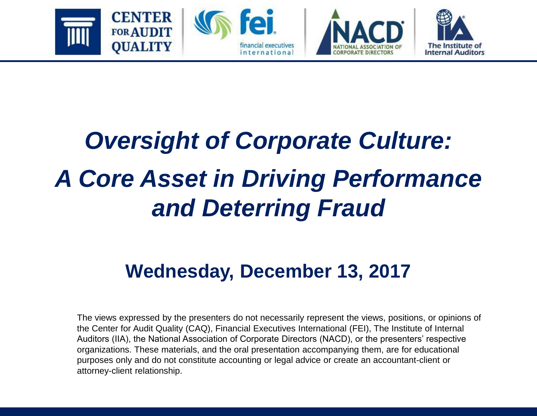

# *Oversight of Corporate Culture: A Core Asset in Driving Performance and Deterring Fraud*

#### **Wednesday, December 13, 2017**

The views expressed by the presenters do not necessarily represent the views, positions, or opinions of the Center for Audit Quality (CAQ), Financial Executives International (FEI), The Institute of Internal Auditors (IIA), the National Association of Corporate Directors (NACD), or the presenters' respective organizations. These materials, and the oral presentation accompanying them, are for educational purposes only and do not constitute accounting or legal advice or create an accountant-client or attorney-client relationship.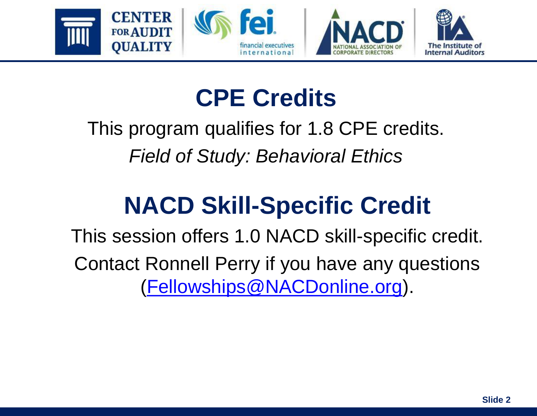

## **CPE Credits**

#### This program qualifies for 1.8 CPE credits. *Field of Study: Behavioral Ethics*

# **NACD Skill-Specific Credit**

This session offers 1.0 NACD skill-specific credit. Contact Ronnell Perry if you have any questions [\(Fellowships@NACDonline.org\)](mailto:Fellowships@NACDonline.org).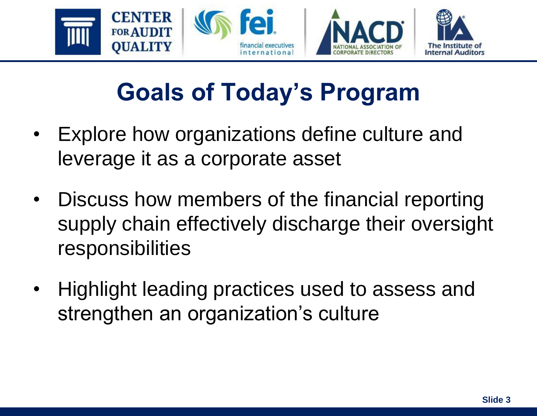

# **Goals of Today's Program**

- Explore how organizations define culture and leverage it as a corporate asset
- Discuss how members of the financial reporting supply chain effectively discharge their oversight responsibilities
- Highlight leading practices used to assess and strengthen an organization's culture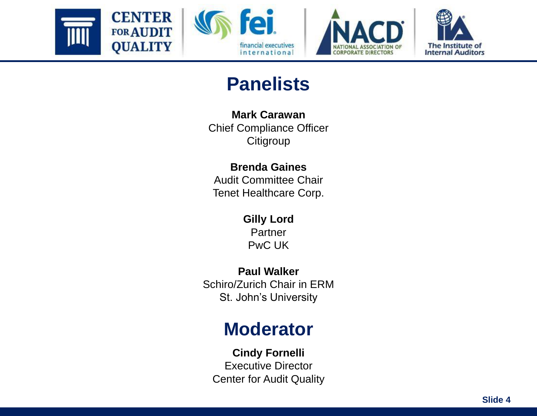







#### **Panelists**

**Mark Carawan**  Chief Compliance Officer **Citigroup** 

#### **Brenda Gaines** Audit Committee Chair

Tenet Healthcare Corp.

**Gilly Lord Partner** PwC UK

**Paul Walker**  Schiro/Zurich Chair in ERM St. John's University

#### **Moderator**

**Cindy Fornelli** Executive Director Center for Audit Quality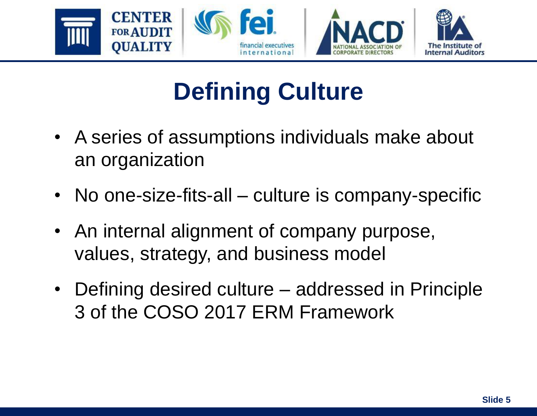

# **Defining Culture**

- A series of assumptions individuals make about an organization
- No one-size-fits-all culture is company-specific
- An internal alignment of company purpose, values, strategy, and business model
- Defining desired culture addressed in Principle 3 of the COSO 2017 ERM Framework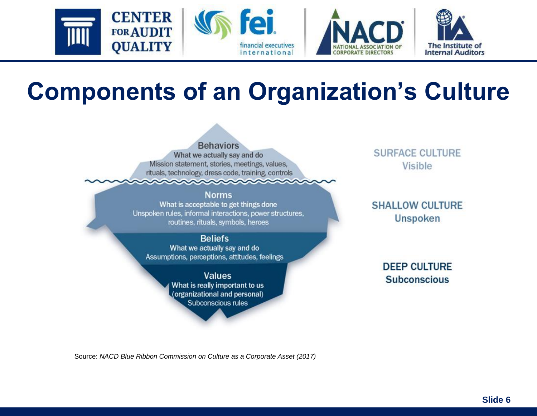

## **Components of an Organization's Culture**



**Norms** What is acceptable to get things done Unspoken rules, informal interactions, power structures, routines, rituals, symbols, heroes

**Beliefs** What we actually say and do Assumptions, perceptions, attitudes, feelings

> **Values** What is really important to us (organizational and personal) Subconscious rules

**SURFACE CULTURE** Visible

**SHALLOW CULTURE Unspoken** 

> **DEEP CULTURE Subconscious**

Source: *NACD Blue Ribbon Commission on Culture as a Corporate Asset (2017)*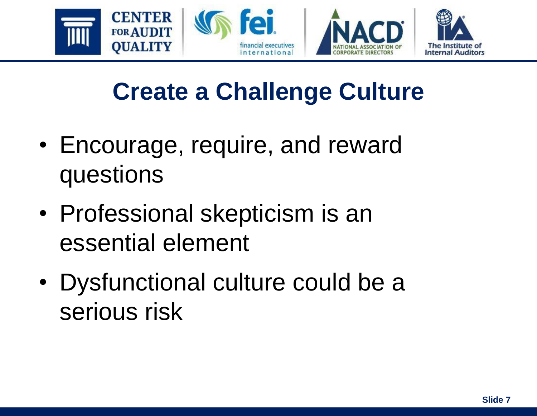

# **Create a Challenge Culture**

- Encourage, require, and reward questions
- Professional skepticism is an essential element
- Dysfunctional culture could be a serious risk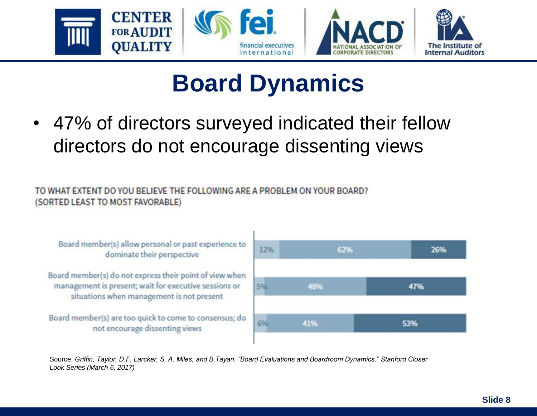

## **Board Dynamics**

• 47% of directors surveyed indicated their fellow directors do not encourage dissenting views

TO WHAT EXTENT DO YOU BELIEVE THE FOLLOWING ARE A PROBLEM ON YOUR BOARD? (SORTED LEAST TO MOST FAVORABLE)

Board member(s) allow personal or past experience to dominate their perspective

Board member(s) do not express their point of view when management is present; wait for executive sessions or situations when management is not present

Board member(s) are too quick to come to consensus; do not encourage dissenting views



Source: *Griffin, Taylor, D.F. Larcker, S. A. Miles, and B.Tayan. "Board Evaluations and Boardroom Dynamics." Stanford Closer Look Series (March 6, 2017)*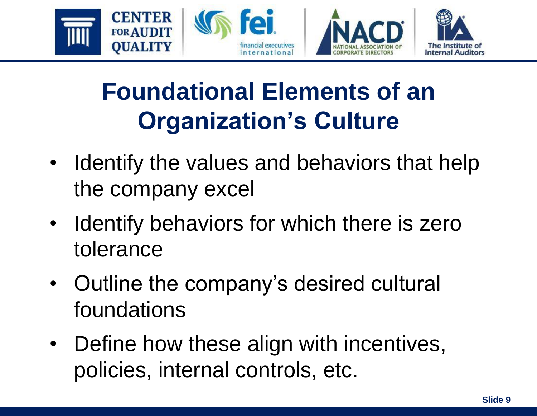

# **Foundational Elements of an Organization's Culture**

- Identify the values and behaviors that help the company excel
- Identify behaviors for which there is zero tolerance
- Outline the company's desired cultural foundations
- Define how these align with incentives, policies, internal controls, etc.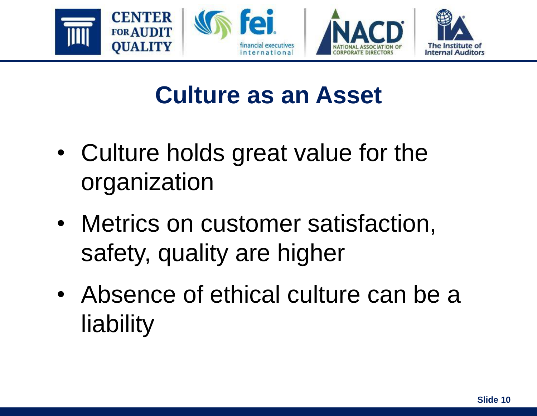

## **Culture as an Asset**

- Culture holds great value for the organization
- Metrics on customer satisfaction, safety, quality are higher
- Absence of ethical culture can be a liability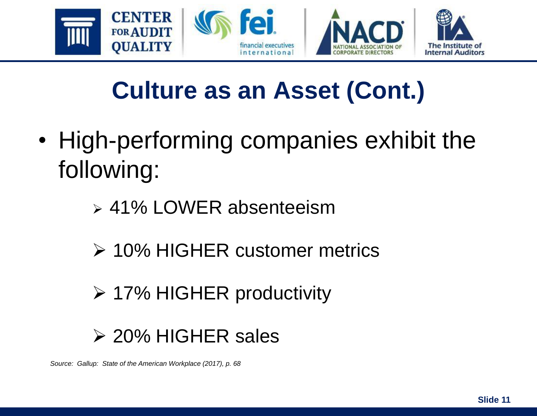

# **Culture as an Asset (Cont.)**

- High-performing companies exhibit the following:
	- ➢ 41% LOWER absenteeism
	- ➢ 10% HIGHER customer metrics
	- ➢ 17% HIGHER productivity

#### ➢ 20% HIGHER sales

*Source: Gallup: State of the American Workplace (2017), p. 68*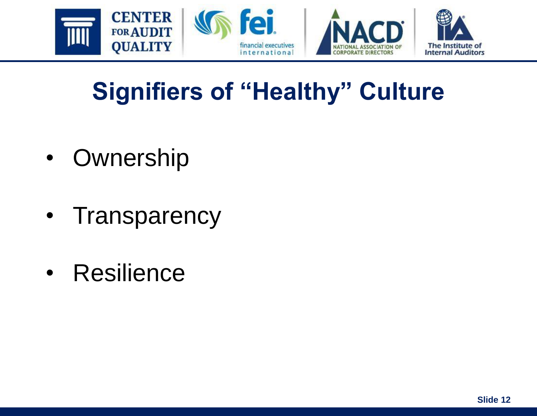

# **Signifiers of "Healthy" Culture**

- Ownership
- Transparency
- Resilience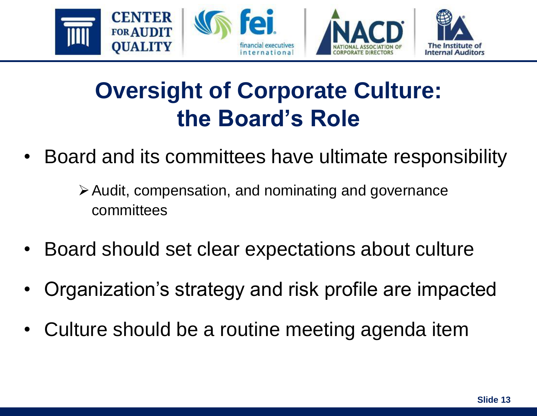

#### **Oversight of Corporate Culture: the Board's Role**

- Board and its committees have ultimate responsibility
	- ➢Audit, compensation, and nominating and governance committees
- Board should set clear expectations about culture
- Organization's strategy and risk profile are impacted
- Culture should be a routine meeting agenda item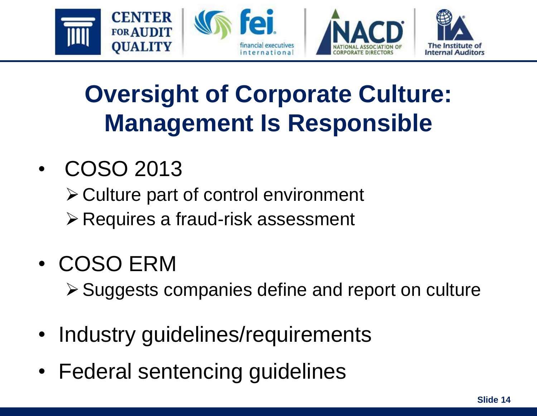

# **Oversight of Corporate Culture: Management Is Responsible**

#### • COSO 2013

➢Culture part of control environment

➢Requires a fraud-risk assessment

#### • COSO ERM

➢Suggests companies define and report on culture

- Industry quidelines/requirements
- Federal sentencing guidelines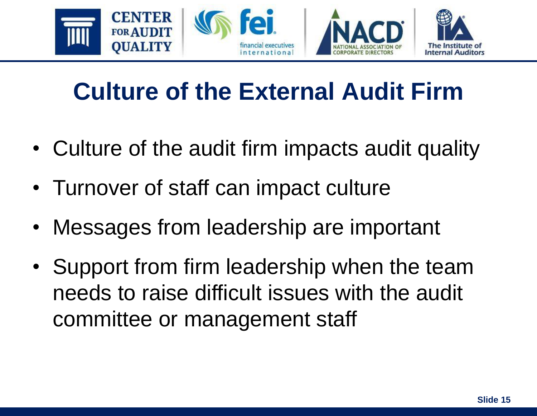

# **Culture of the External Audit Firm**

- Culture of the audit firm impacts audit quality
- Turnover of staff can impact culture
- Messages from leadership are important
- Support from firm leadership when the team needs to raise difficult issues with the audit committee or management staff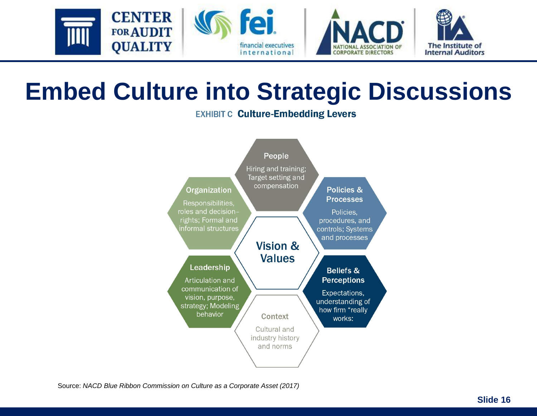

#### **Embed Culture into Strategic Discussions**

**EXHIBIT C Culture-Embedding Levers** 



Source: *NACD Blue Ribbon Commission on Culture as a Corporate Asset (2017)*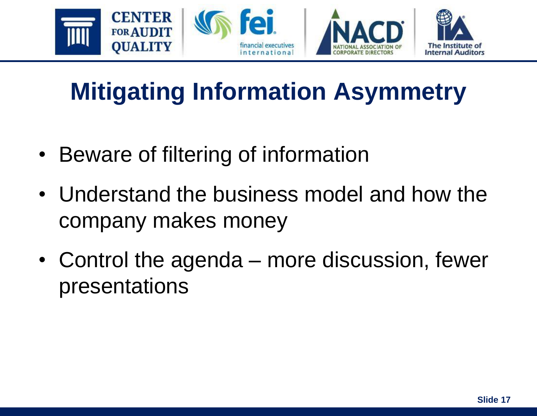

# **Mitigating Information Asymmetry**

- Beware of filtering of information
- Understand the business model and how the company makes money
- Control the agenda more discussion, fewer presentations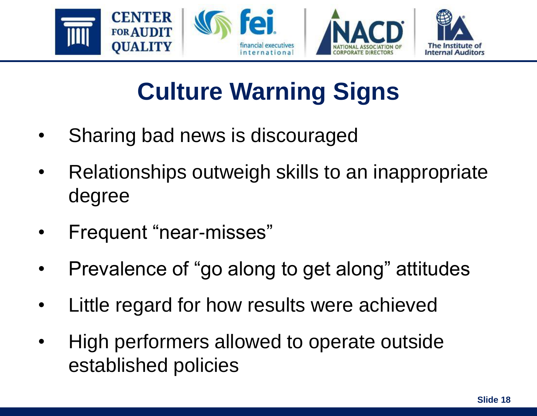

# **Culture Warning Signs**

- Sharing bad news is discouraged
- Relationships outweigh skills to an inappropriate degree
- Frequent "near-misses"
- Prevalence of "go along to get along" attitudes
- Little regard for how results were achieved
- High performers allowed to operate outside established policies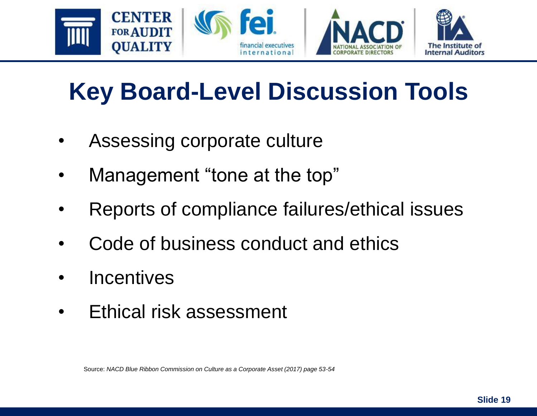

# **Key Board-Level Discussion Tools**

- Assessing corporate culture
- Management "tone at the top"
- Reports of compliance failures/ethical issues
- Code of business conduct and ethics
- Incentives
- Ethical risk assessment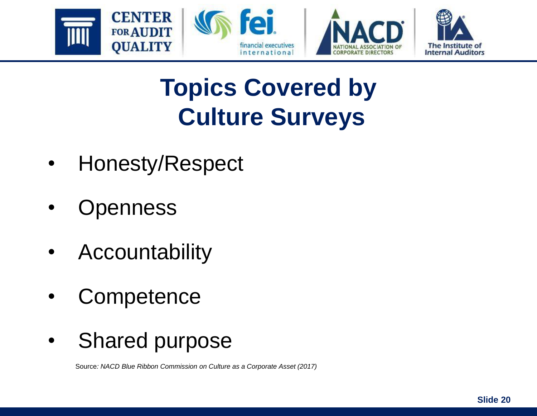



# **Topics Covered by Culture Surveys**

- Honesty/Respect
- **Openness**
- **Accountability**
- **Competence**
- Shared purpose

Source*: NACD Blue Ribbon Commission on Culture as a Corporate Asset (2017)*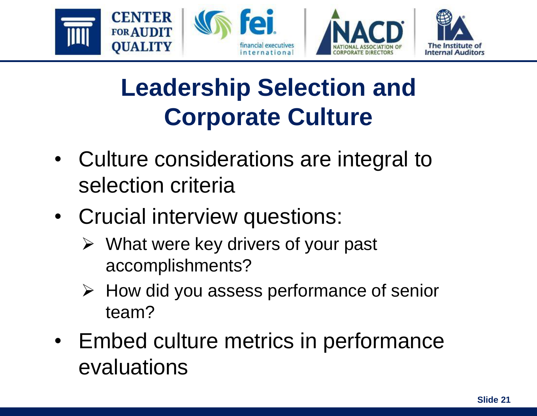





# **Leadership Selection and Corporate Culture**

- Culture considerations are integral to selection criteria
- Crucial interview questions:
	- $\triangleright$  What were key drivers of your past accomplishments?
	- ➢ How did you assess performance of senior team?
- Embed culture metrics in performance evaluations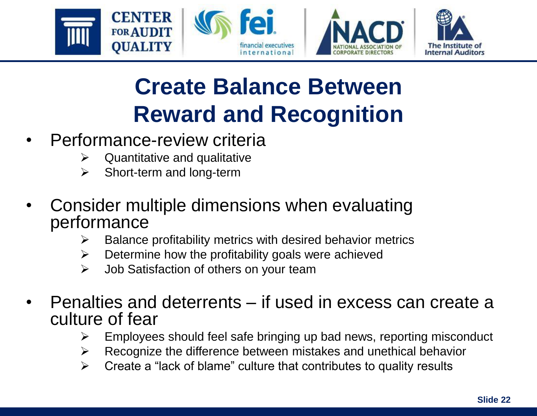







### **Create Balance Between Reward and Recognition**

- Performance-review criteria
	- $\triangleright$  Quantitative and qualitative
	- ➢ Short-term and long-term
- Consider multiple dimensions when evaluating performance
	- $\triangleright$  Balance profitability metrics with desired behavior metrics
	- $\triangleright$  Determine how the profitability goals were achieved
	- $\triangleright$  Job Satisfaction of others on your team
- Penalties and deterrents if used in excess can create a culture of fear
	- $\triangleright$  Employees should feel safe bringing up bad news, reporting misconduct
	- $\triangleright$  Recognize the difference between mistakes and unethical behavior
	- $\triangleright$  Create a "lack of blame" culture that contributes to quality results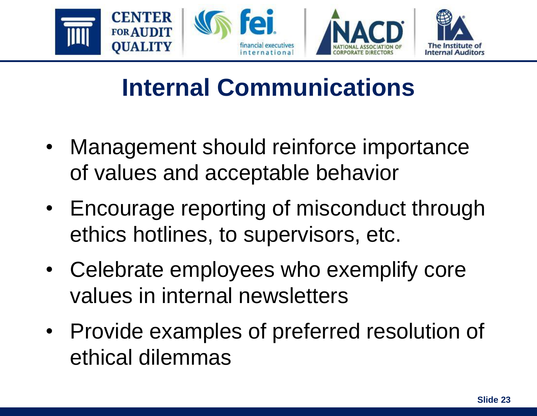

## **Internal Communications**

- Management should reinforce importance of values and acceptable behavior
- Encourage reporting of misconduct through ethics hotlines, to supervisors, etc.
- Celebrate employees who exemplify core values in internal newsletters
- Provide examples of preferred resolution of ethical dilemmas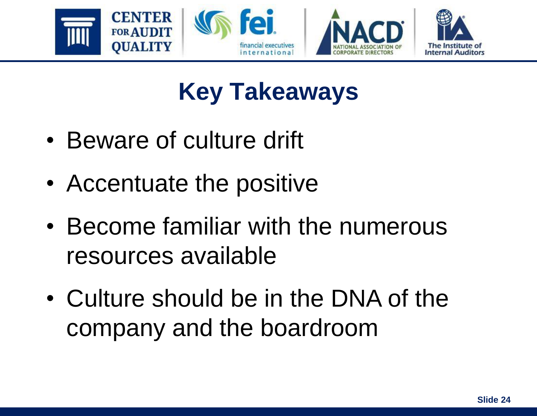

# **Key Takeaways**

- Beware of culture drift
- Accentuate the positive
- Become familiar with the numerous resources available
- Culture should be in the DNA of the company and the boardroom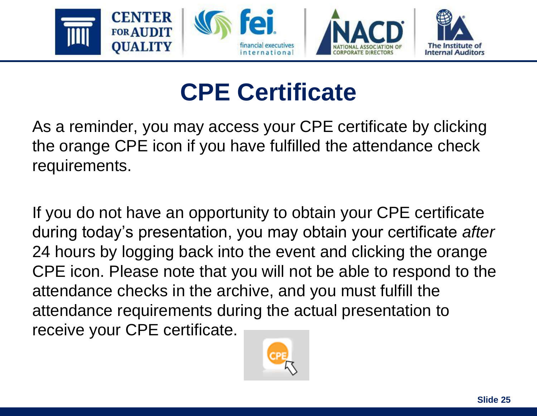

# **CPE Certificate**

As a reminder, you may access your CPE certificate by clicking the orange CPE icon if you have fulfilled the attendance check requirements.

If you do not have an opportunity to obtain your CPE certificate during today's presentation, you may obtain your certificate *after* 24 hours by logging back into the event and clicking the orange CPE icon. Please note that you will not be able to respond to the attendance checks in the archive, and you must fulfill the attendance requirements during the actual presentation to receive your CPE certificate.